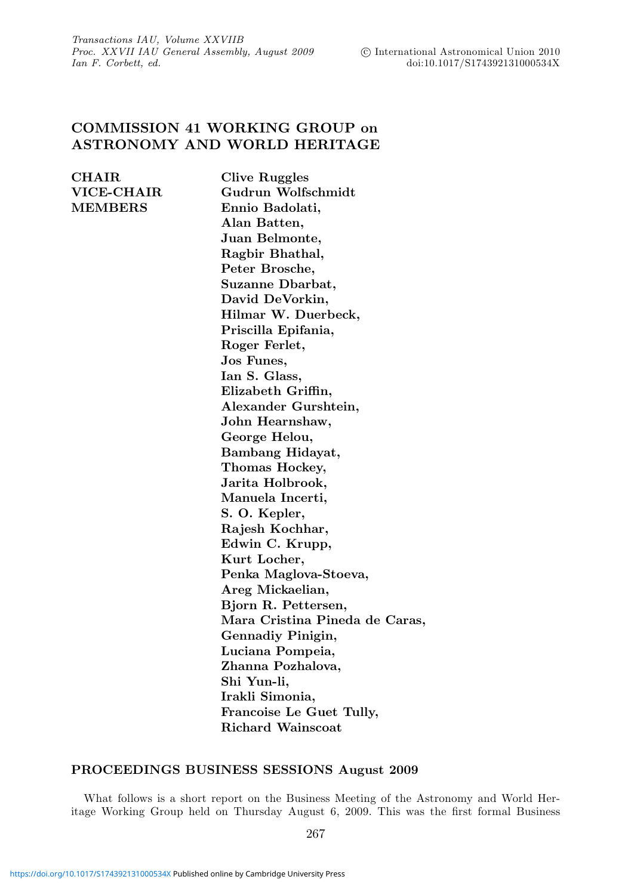# **COMMISSION 41 WORKING GROUP on ASTRONOMY AND WORLD HERITAGE**

**CHAIR Clive Ruggles VICE-CHAIR Gudrun Wolfschmidt** Ennio Badolati. **Alan Batten, Juan Belmonte, Ragbir Bhathal, Peter Brosche, Suzanne Dbarbat, David DeVorkin, Hilmar W. Duerbeck, Priscilla Epifania, Roger Ferlet, Jos Funes, Ian S. Glass, Elizabeth Griffin, Alexander Gurshtein, John Hearnshaw, George Helou, Bambang Hidayat, Thomas Hockey, Jarita Holbrook, Manuela Incerti, S. O. Kepler, Rajesh Kochhar, Edwin C. Krupp, Kurt Locher, Penka Maglova-Stoeva, Areg Mickaelian, Bjorn R. Pettersen, Mara Cristina Pineda de Caras, Gennadiy Pinigin, Luciana Pompeia, Zhanna Pozhalova, Shi Yun-li, Irakli Simonia, Francoise Le Guet Tully, Richard Wainscoat**

### **PROCEEDINGS BUSINESS SESSIONS August 2009**

What follows is a short report on the Business Meeting of the Astronomy and World Heritage Working Group held on Thursday August 6, 2009. This was the first formal Business

267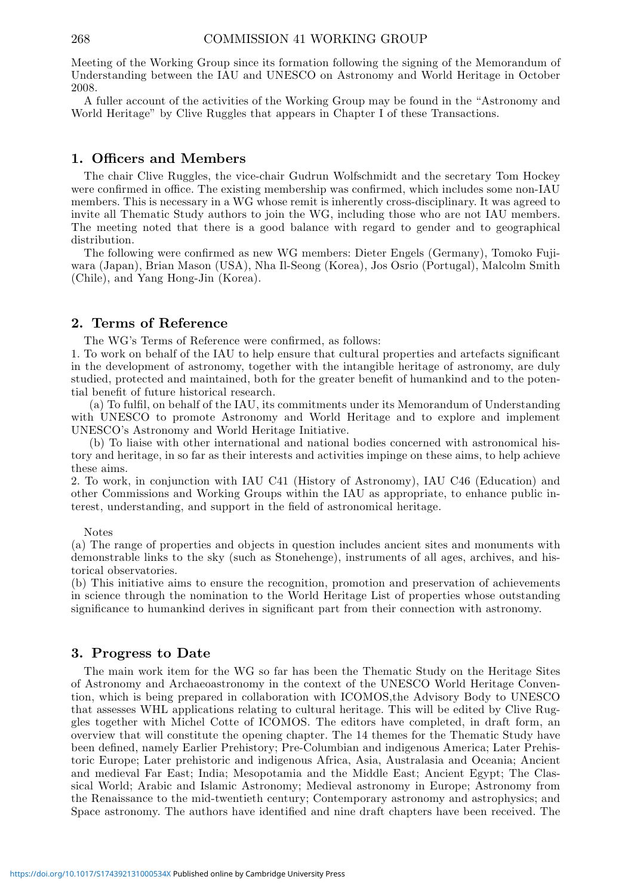Meeting of the Working Group since its formation following the signing of the Memorandum of Understanding between the IAU and UNESCO on Astronomy and World Heritage in October 2008.

A fuller account of the activities of the Working Group may be found in the "Astronomy and World Heritage" by Clive Ruggles that appears in Chapter I of these Transactions.

### **1. Officers and Members**

The chair Clive Ruggles, the vice-chair Gudrun Wolfschmidt and the secretary Tom Hockey were confirmed in office. The existing membership was confirmed, which includes some non-IAU members. This is necessary in a WG whose remit is inherently cross-disciplinary. It was agreed to invite all Thematic Study authors to join the WG, including those who are not IAU members. The meeting noted that there is a good balance with regard to gender and to geographical distribution.

The following were confirmed as new WG members: Dieter Engels (Germany), Tomoko Fujiwara (Japan), Brian Mason (USA), Nha Il-Seong (Korea), Jos Osrio (Portugal), Malcolm Smith (Chile), and Yang Hong-Jin (Korea).

## **2. Terms of Reference**

The WG's Terms of Reference were confirmed, as follows:

1. To work on behalf of the IAU to help ensure that cultural properties and artefacts significant in the development of astronomy, together with the intangible heritage of astronomy, are duly studied, protected and maintained, both for the greater benefit of humankind and to the potential benefit of future historical research.

(a) To fulfil, on behalf of the IAU, its commitments under its Memorandum of Understanding with UNESCO to promote Astronomy and World Heritage and to explore and implement UNESCO's Astronomy and World Heritage Initiative.

(b) To liaise with other international and national bodies concerned with astronomical history and heritage, in so far as their interests and activities impinge on these aims, to help achieve these aims.

2. To work, in conjunction with IAU C41 (History of Astronomy), IAU C46 (Education) and other Commissions and Working Groups within the IAU as appropriate, to enhance public interest, understanding, and support in the field of astronomical heritage.

Notes

(a) The range of properties and objects in question includes ancient sites and monuments with demonstrable links to the sky (such as Stonehenge), instruments of all ages, archives, and historical observatories.

(b) This initiative aims to ensure the recognition, promotion and preservation of achievements in science through the nomination to the World Heritage List of properties whose outstanding significance to humankind derives in significant part from their connection with astronomy.

### **3. Progress to Date**

The main work item for the WG so far has been the Thematic Study on the Heritage Sites of Astronomy and Archaeoastronomy in the context of the UNESCO World Heritage Convention, which is being prepared in collaboration with ICOMOS,the Advisory Body to UNESCO that assesses WHL applications relating to cultural heritage. This will be edited by Clive Ruggles together with Michel Cotte of ICOMOS. The editors have completed, in draft form, an overview that will constitute the opening chapter. The 14 themes for the Thematic Study have been defined, namely Earlier Prehistory; Pre-Columbian and indigenous America; Later Prehistoric Europe; Later prehistoric and indigenous Africa, Asia, Australasia and Oceania; Ancient and medieval Far East; India; Mesopotamia and the Middle East; Ancient Egypt; The Classical World; Arabic and Islamic Astronomy; Medieval astronomy in Europe; Astronomy from the Renaissance to the mid-twentieth century; Contemporary astronomy and astrophysics; and Space astronomy. The authors have identified and nine draft chapters have been received. The